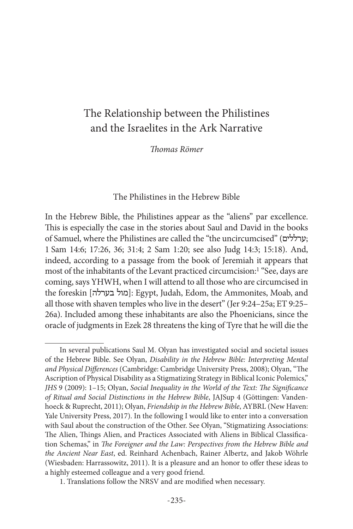# The Relationship between the Philistines and the Israelites in the Ark Narrative

*Thomas Römer*

## The Philistines in the Hebrew Bible

In the Hebrew Bible, the Philistines appear as the "aliens" par excellence. This is especially the case in the stories about Saul and David in the books of Samuel, where the Philistines are called the "the uncircumcised" (ערללים ; 1 Sam 14:6; 17:26, 36; 31:4; 2 Sam 1:20; see also Judg 14:3; 15:18). And, indeed, according to a passage from the book of Jeremiah it appears that most of the inhabitants of the Levant practiced circumcision:1 "See, days are coming, says YHWH, when I will attend to all those who are circumcised in the foreskin [מול בערלה]: Egypt, Judah, Edom, the Ammonites, Moab, and all those with shaven temples who live in the desert" (Jer 9:24–25a; ET 9:25– 26a). Included among these inhabitants are also the Phoenicians, since the oracle of judgments in Ezek 28 threatens the king of Tyre that he will die the

In several publications Saul M. Olyan has investigated social and societal issues of the Hebrew Bible. See Olyan, *Disability in the Hebrew Bible: Interpreting Mental and Physical Differences* (Cambridge: Cambridge University Press, 2008); Olyan, "The Ascription of Physical Disability as a Stigmatizing Strategy in Biblical Iconic Polemics," *JHS* 9 (2009): 1–15; Olyan, *Social Inequality in the World of the Text: The Significance of Ritual and Social Distinctions in the Hebrew Bible*, JAJSup 4 (Göttingen: Vandenhoeck & Ruprecht, 2011); Olyan, *Friendship in the Hebrew Bible*, AYBRL (New Haven: Yale University Press, 2017). In the following I would like to enter into a conversation with Saul about the construction of the Other. See Olyan, "Stigmatizing Associations: The Alien, Things Alien, and Practices Associated with Aliens in Biblical Classification Schemas," in *The Foreigner and the Law: Perspectives from the Hebrew Bible and the Ancient Near East*, ed. Reinhard Achenbach, Rainer Albertz, and Jakob Wöhrle (Wiesbaden: Harrassowitz, 2011). It is a pleasure and an honor to offer these ideas to a highly esteemed colleague and a very good friend.

<sup>1.</sup> Translations follow the NRSV and are modified when necessary.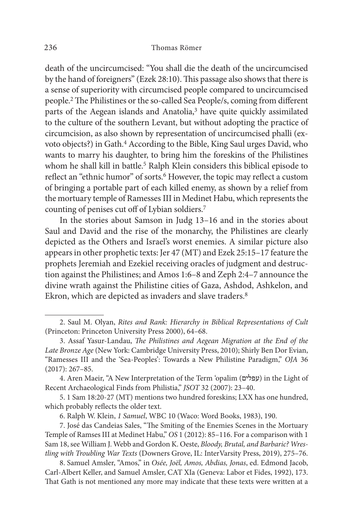death of the uncircumcised: "You shall die the death of the uncircumcised by the hand of foreigners" (Ezek 28:10). This passage also shows that there is a sense of superiority with circumcised people compared to uncircumcised people.2 The Philistines or the so-called Sea People/s, coming from different parts of the Aegean islands and Anatolia,<sup>3</sup> have quite quickly assimilated to the culture of the southern Levant, but without adopting the practice of circumcision, as also shown by representation of uncircumcised phalli (exvoto objects?) in Gath.4 According to the Bible, King Saul urges David, who wants to marry his daughter, to bring him the foreskins of the Philistines whom he shall kill in battle.<sup>5</sup> Ralph Klein considers this biblical episode to reflect an "ethnic humor" of sorts.<sup>6</sup> However, the topic may reflect a custom of bringing a portable part of each killed enemy, as shown by a relief from the mortuary temple of Ramesses III in Medinet Habu, which represents the counting of penises cut off of Lybian soldiers.7

In the stories about Samson in Judg 13–16 and in the stories about Saul and David and the rise of the monarchy, the Philistines are clearly depicted as the Others and Israel's worst enemies. A similar picture also appears in other prophetic texts: Jer 47 (MT) and Ezek 25:15–17 feature the prophets Jeremiah and Ezekiel receiving oracles of judgment and destruction against the Philistines; and Amos 1:6–8 and Zeph 2:4–7 announce the divine wrath against the Philistine cities of Gaza, Ashdod, Ashkelon, and Ekron, which are depicted as invaders and slave traders.<sup>8</sup>

6. Ralph W. Klein, *1 Samuel*, WBC 10 (Waco: Word Books, 1983), 190.

7. José das Candeias Sales, "The Smiting of the Enemies Scenes in the Mortuary Temple of Ramses III at Medinet Habu," *OS* 1 (2012): 85–116. For a comparison with 1 Sam 18, see William J. Webb and Gordon K. Oeste, *Bloody, Brutal, and Barbaric? Wrestling with Troubling War Texts* (Downers Grove, IL: InterVarsity Press, 2019), 275–76.

8. Samuel Amsler, "Amos," in *Osée, Joël, Amos, Abdias, Jonas*, ed. Edmond Jacob, Carl-Albert Keller, and Samuel Amsler, CAT XIa (Geneva: Labor et Fides, 1992), 173. That Gath is not mentioned any more may indicate that these texts were written at a

<sup>2.</sup> Saul M. Olyan, *Rites and Rank: Hierarchy in Biblical Representations of Cult* (Princeton: Princeton University Press 2000), 64–68.

<sup>3.</sup> Assaf Yasur-Landau, *The Philistines and Aegean Migration at the End of the Late Bronze Age* (New York: Cambridge University Press, 2010); Shirly Ben Dor Evian, "Ramesses III and the 'Sea‐Peoples': Towards a New Philistine Paradigm," *OJA* 36 (2017): 267–85.

<sup>4.</sup> Aren Maeir, "A New Interpretation of the Term 'opalim (עפלים) in the Light of Recent Archaeological Finds from Philistia," *JSOT* 32 (2007): 23–40.

<sup>5. 1</sup> Sam 18:20-27 (MT) mentions two hundred foreskins; LXX has one hundred, which probably reflects the older text.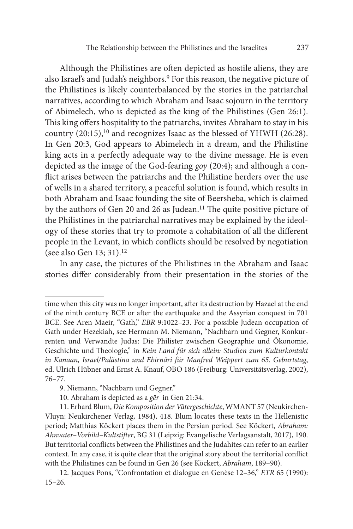Although the Philistines are often depicted as hostile aliens, they are also Israel's and Judah's neighbors.9 For this reason, the negative picture of the Philistines is likely counterbalanced by the stories in the patriarchal narratives, according to which Abraham and Isaac sojourn in the territory of Abimelech, who is depicted as the king of the Philistines (Gen 26:1). This king offers hospitality to the patriarchs, invites Abraham to stay in his country  $(20.15)$ ,<sup>10</sup> and recognizes Isaac as the blessed of YHWH  $(26.28)$ . In Gen 20:3, God appears to Abimelech in a dream, and the Philistine king acts in a perfectly adequate way to the divine message. He is even depicted as the image of the God-fearing *goy* (20:4); and although a conflict arises between the patriarchs and the Philistine herders over the use of wells in a shared territory, a peaceful solution is found, which results in both Abraham and Isaac founding the site of Beersheba, which is claimed by the authors of Gen 20 and 26 as Judean.<sup>11</sup> The quite positive picture of the Philistines in the patriarchal narratives may be explained by the ideology of these stories that try to promote a cohabitation of all the different people in the Levant, in which conflicts should be resolved by negotiation (see also Gen 13; 31).12

In any case, the pictures of the Philistines in the Abraham and Isaac stories differ considerably from their presentation in the stories of the

time when this city was no longer important, after its destruction by Hazael at the end of the ninth century BCE or after the earthquake and the Assyrian conquest in 701 BCE. See Aren Maeir, "Gath," *EBR* 9:1022–23. For a possible Judean occupation of Gath under Hezekiah, see Hermann M. Niemann, "Nachbarn und Gegner, Konkurrenten und Verwandte Judas: Die Philister zwischen Geographie und Ökonomie, Geschichte und Theologie," in *Kein Land für sich allein: Studien zum Kulturkontakt in Kanaan, Israel/Palästina und Ebirnâri für Manfred Weippert zum 65. Geburtstag*, ed. Ulrich Hübner and Ernst A. Knauf, OBO 186 (Freiburg: Universitätsverlag, 2002), 76–77.

<sup>9.</sup> Niemann, "Nachbarn und Gegner."

<sup>10.</sup> Abraham is depicted as a *gēr* in Gen 21:34.

<sup>11.</sup> Erhard Blum, *Die Komposition der Vätergeschichte*, WMANT 57 (Neukirchen-Vluyn: Neukirchener Verlag, 1984), 418. Blum locates these texts in the Hellenistic period; Matthias Köckert places them in the Persian period. See Köckert, *Abraham: Ahnvater–Vorbild–Kultstifter*, BG 31 (Leipzig: Evangelische Verlagsanstalt, 2017), 190. But territorial conflicts between the Philistines and the Judahites can refer to an earlier context. In any case, it is quite clear that the original story about the territorial conflict with the Philistines can be found in Gen 26 (see Köckert, *Abraham*, 189–90).

<sup>12.</sup> Jacques Pons, "Confrontation et dialogue en Genèse 12–36," *ETR* 65 (1990): 15–26.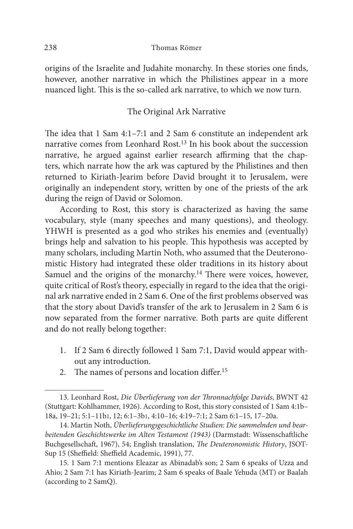#### 238 Thomas Römer

origins of the Israelite and Judahite monarchy. In these stories one finds, however, another narrative in which the Philistines appear in a more nuanced light. This is the so-called ark narrative, to which we now turn.

## The Original Ark Narrative

The idea that 1 Sam 4:1–7:1 and 2 Sam 6 constitute an independent ark narrative comes from Leonhard Rost.13 In his book about the succession narrative, he argued against earlier research affirming that the chapters, which narrate how the ark was captured by the Philistines and then returned to Kiriath-Jearim before David brought it to Jerusalem, were originally an independent story, written by one of the priests of the ark during the reign of David or Solomon.

According to Rost, this story is characterized as having the same vocabulary, style (many speeches and many questions), and theology. YHWH is presented as a god who strikes his enemies and (eventually) brings help and salvation to his people. This hypothesis was accepted by many scholars, including Martin Noth, who assumed that the Deuteronomistic History had integrated these older traditions in its history about Samuel and the origins of the monarchy.<sup>14</sup> There were voices, however, quite critical of Rost's theory, especially in regard to the idea that the original ark narrative ended in 2 Sam 6. One of the first problems observed was that the story about David's transfer of the ark to Jerusalem in 2 Sam 6 is now separated from the former narrative. Both parts are quite different and do not really belong together:

- 1. If 2 Sam 6 directly followed 1 Sam 7:1, David would appear without any introduction.
- 2. The names of persons and location differ.15

<sup>13.</sup> Leonhard Rost, *Die Überlieferung von der Thronnachfolge Davids*, BWNT 42 (Stuttgart: Kohlhammer, 1926). According to Rost, this story consisted of 1 Sam 4:1b– 18a, 19–21; 5:1–11b1, 12; 6:1–3b1, 4:10–16; 4:19–7:1; 2 Sam 6:1–15, 17–20a.

<sup>14.</sup> Martin Noth, *Überlieferungsgeschichtliche Studien: Die sammelnden und bearbeitenden Geschichtswerke im Alten Testament (1943)* (Darmstadt: Wissenschaftliche Buchgesellschaft, 1967), 54; English translation, *The Deuteronomistic History*, JSOT-Sup 15 (Sheffield: Sheffield Academic, 1991), 77.

<sup>15. 1</sup> Sam 7:1 mentions Eleazar as Abinadab's son; 2 Sam 6 speaks of Uzza and Ahio; 2 Sam 7:1 has Kiriath-Jearim; 2 Sam 6 speaks of Baale Yehuda (MT) or Baalah (according to 2 SamQ).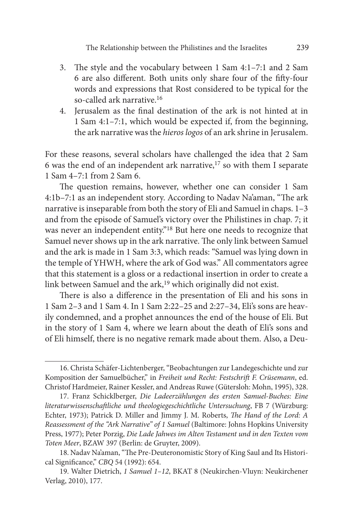The Relationship between the Philistines and the Israelites 239

- 3. The style and the vocabulary between 1 Sam 4:1–7:1 and 2 Sam 6 are also different. Both units only share four of the fifty-four words and expressions that Rost considered to be typical for the so-called ark narrative.16
- 4. Jerusalem as the final destination of the ark is not hinted at in 1 Sam 4:1–7:1, which would be expected if, from the beginning, the ark narrative was the *hieros logos* of an ark shrine in Jerusalem.

For these reasons, several scholars have challenged the idea that 2 Sam 6 was the end of an independent ark narrative, $17$  so with them I separate 1 Sam 4–7:1 from 2 Sam 6.

The question remains, however, whether one can consider 1 Sam 4:1b–7:1 as an independent story. According to Nadav Na'aman, "The ark narrative is inseparable from both the story of Eli and Samuel in chaps. 1–3 and from the episode of Samuel's victory over the Philistines in chap. 7; it was never an independent entity."18 But here one needs to recognize that Samuel never shows up in the ark narrative. The only link between Samuel and the ark is made in 1 Sam 3:3, which reads: "Samuel was lying down in the temple of YHWH, where the ark of God was." All commentators agree that this statement is a gloss or a redactional insertion in order to create a link between Samuel and the  $ark<sub>1</sub><sup>19</sup>$  which originally did not exist.

There is also a difference in the presentation of Eli and his sons in 1 Sam 2–3 and 1 Sam 4. In 1 Sam 2:22–25 and 2:27–34, Eli's sons are heavily condemned, and a prophet announces the end of the house of Eli. But in the story of 1 Sam 4, where we learn about the death of Eli's sons and of Eli himself, there is no negative remark made about them. Also, a Deu-

<sup>16.</sup> Christa Schäfer-Lichtenberger, "Beobachtungen zur Landegeschichte und zur Komposition der Samuelbücher," in *Freiheit und Recht: Festschrift F. Crüsemann*, ed. Christof Hardmeier, Rainer Kessler, and Andreas Ruwe (Gütersloh: Mohn, 1995), 328.

<sup>17.</sup> Franz Schicklberger, *Die Ladeerzählungen des ersten Samuel-Buches: Eine literaturwissenschaftliche und theologiegeschichtliche Untersuchung*, FB 7 (Würzburg: Echter, 1973); Patrick D. Miller and Jimmy J. M. Roberts, *The Hand of the Lord: A Reassessment of the "Ark Narrative" of 1 Samuel* (Baltimore: Johns Hopkins University Press, 1977); Peter Porzig, *Die Lade Jahwes im Alten Testament und in den Texten vom Toten Meer*, BZAW 397 (Berlin: de Gruyter, 2009).

<sup>18.</sup> Nadav Na'aman, "The Pre-Deuteronomistic Story of King Saul and Its Historical Significance," *CBQ* 54 (1992): 654.

<sup>19.</sup> Walter Dietrich, *1 Samuel 1–12*, BKAT 8 (Neukirchen-Vluyn: Neukirchener Verlag, 2010), 177.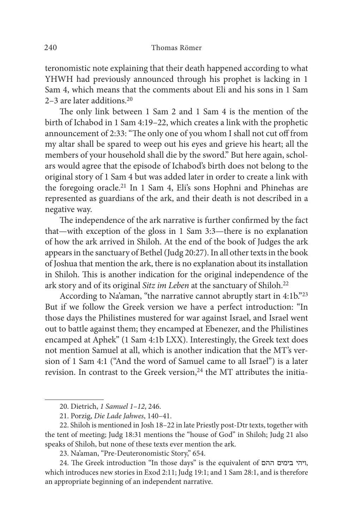teronomistic note explaining that their death happened according to what YHWH had previously announced through his prophet is lacking in 1 Sam 4, which means that the comments about Eli and his sons in 1 Sam 2–3 are later additions.20

The only link between 1 Sam 2 and 1 Sam 4 is the mention of the birth of Ichabod in 1 Sam 4:19–22, which creates a link with the prophetic announcement of 2:33: "The only one of you whom I shall not cut off from my altar shall be spared to weep out his eyes and grieve his heart; all the members of your household shall die by the sword." But here again, scholars would agree that the episode of Ichabod's birth does not belong to the original story of 1 Sam 4 but was added later in order to create a link with the foregoing oracle.21 In 1 Sam 4, Eli's sons Hophni and Phinehas are represented as guardians of the ark, and their death is not described in a negative way.

The independence of the ark narrative is further confirmed by the fact that—with exception of the gloss in 1 Sam 3:3—there is no explanation of how the ark arrived in Shiloh. At the end of the book of Judges the ark appears in the sanctuary of Bethel (Judg 20:27). In all other texts in the book of Joshua that mention the ark, there is no explanation about its installation in Shiloh. This is another indication for the original independence of the ark story and of its original *Sitz im Leben* at the sanctuary of Shiloh.22

According to Na'aman, "the narrative cannot abruptly start in 4:1b."23 But if we follow the Greek version we have a perfect introduction: "In those days the Philistines mustered for war against Israel, and Israel went out to battle against them; they encamped at Ebenezer, and the Philistines encamped at Aphek" (1 Sam 4:1b LXX). Interestingly, the Greek text does not mention Samuel at all, which is another indication that the MT's version of 1 Sam 4:1 ("And the word of Samuel came to all Israel") is a later revision. In contrast to the Greek version, $24$  the MT attributes the initia-

<sup>20.</sup> Dietrich, *1 Samuel 1–12*, 246.

<sup>21.</sup> Porzig, *Die Lade Jahwes*, 140–41.

<sup>22.</sup> Shiloh is mentioned in Josh 18–22 in late Priestly post-Dtr texts, together with the tent of meeting; Judg 18:31 mentions the "house of God" in Shiloh; Judg 21 also speaks of Shiloh, but none of these texts ever mention the ark.

<sup>23.</sup> Na'aman, "Pre-Deuteronomistic Story," 654.

<sup>24.</sup> The Greek introduction "In those days" is the equivalent of ההם בימים ויהי, which introduces new stories in Exod 2:11; Judg 19:1; and 1 Sam 28:1, and is therefore an appropriate beginning of an independent narrative.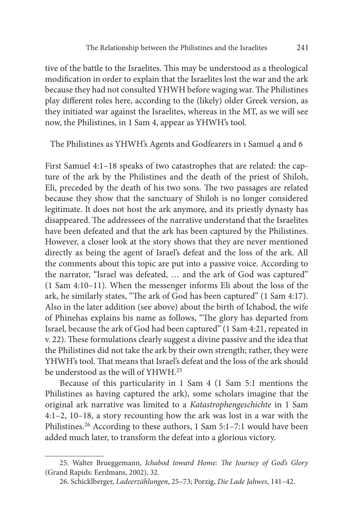tive of the battle to the Israelites. This may be understood as a theological modification in order to explain that the Israelites lost the war and the ark because they had not consulted YHWH before waging war. The Philistines play different roles here, according to the (likely) older Greek version, as they initiated war against the Israelites, whereas in the MT, as we will see now, the Philistines, in 1 Sam 4, appear as YHWH's tool.

The Philistines as YHWH's Agents and Godfearers in 1 Samuel 4 and 6

First Samuel 4:1–18 speaks of two catastrophes that are related: the capture of the ark by the Philistines and the death of the priest of Shiloh, Eli, preceded by the death of his two sons. The two passages are related because they show that the sanctuary of Shiloh is no longer considered legitimate. It does not host the ark anymore, and its priestly dynasty has disappeared. The addressees of the narrative understand that the Israelites have been defeated and that the ark has been captured by the Philistines. However, a closer look at the story shows that they are never mentioned directly as being the agent of Israel's defeat and the loss of the ark. All the comments about this topic are put into a passive voice. According to the narrator, "Israel was defeated, … and the ark of God was captured" (1 Sam 4:10–11). When the messenger informs Eli about the loss of the ark, he similarly states, "The ark of God has been captured" (1 Sam 4:17). Also in the later addition (see above) about the birth of Ichabod, the wife of Phinehas explains his name as follows, "The glory has departed from Israel, because the ark of God had been captured" (1 Sam 4:21, repeated in v. 22). These formulations clearly suggest a divine passive and the idea that the Philistines did not take the ark by their own strength; rather, they were YHWH's tool. That means that Israel's defeat and the loss of the ark should be understood as the will of YHWH.25

Because of this particularity in 1 Sam 4 (1 Sam 5:1 mentions the Philistines as having captured the ark), some scholars imagine that the original ark narrative was limited to a *Katastrophengeschichte* in 1 Sam 4:1–2, 10–18, a story recounting how the ark was lost in a war with the Philistines.26 According to these authors, 1 Sam 5:1–7:1 would have been added much later, to transform the defeat into a glorious victory.

<sup>25.</sup> Walter Brueggemann, *Ichabod toward Home: The Journey of God's Glory* (Grand Rapids: Eerdmans, 2002), 32.

<sup>26.</sup> Schicklberger, *Ladeerzählungen*, 25–73; Porzig, *Die Lade Jahwes*, 141–42.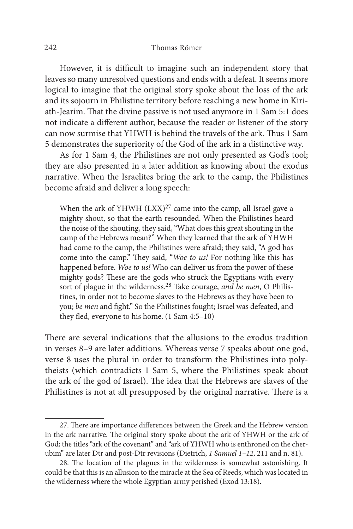### 242 Thomas Römer

However, it is difficult to imagine such an independent story that leaves so many unresolved questions and ends with a defeat. It seems more logical to imagine that the original story spoke about the loss of the ark and its sojourn in Philistine territory before reaching a new home in Kiriath-Jearim. That the divine passive is not used anymore in 1 Sam 5:1 does not indicate a different author, because the reader or listener of the story can now surmise that YHWH is behind the travels of the ark. Thus 1 Sam 5 demonstrates the superiority of the God of the ark in a distinctive way.

As for 1 Sam 4, the Philistines are not only presented as God's tool; they are also presented in a later addition as knowing about the exodus narrative. When the Israelites bring the ark to the camp, the Philistines become afraid and deliver a long speech:

When the ark of YHWH  $(LXX)^{27}$  came into the camp, all Israel gave a mighty shout, so that the earth resounded. When the Philistines heard the noise of the shouting, they said, "What does this great shouting in the camp of the Hebrews mean?" When they learned that the ark of YHWH had come to the camp, the Philistines were afraid; they said, "A god has come into the camp." They said, "*Woe to us!* For nothing like this has happened before. *Woe to us!* Who can deliver us from the power of these mighty gods? These are the gods who struck the Egyptians with every sort of plague in the wilderness.28 Take courage, *and be men*, O Philistines, in order not to become slaves to the Hebrews as they have been to you; *be men* and fight." So the Philistines fought; Israel was defeated, and they fled, everyone to his home. (1 Sam 4:5–10)

There are several indications that the allusions to the exodus tradition in verses 8–9 are later additions. Whereas verse 7 speaks about one god, verse 8 uses the plural in order to transform the Philistines into polytheists (which contradicts 1 Sam 5, where the Philistines speak about the ark of the god of Israel). The idea that the Hebrews are slaves of the Philistines is not at all presupposed by the original narrative. There is a

<sup>27.</sup> There are importance differences between the Greek and the Hebrew version in the ark narrative. The original story spoke about the ark of YHWH or the ark of God; the titles "ark of the covenant" and "ark of YHWH who is enthroned on the cherubim" are later Dtr and post-Dtr revisions (Dietrich, *1 Samuel 1–12*, 211 and n. 81).

<sup>28.</sup> The location of the plagues in the wilderness is somewhat astonishing. It could be that this is an allusion to the miracle at the Sea of Reeds, which was located in the wilderness where the whole Egyptian army perished (Exod 13:18).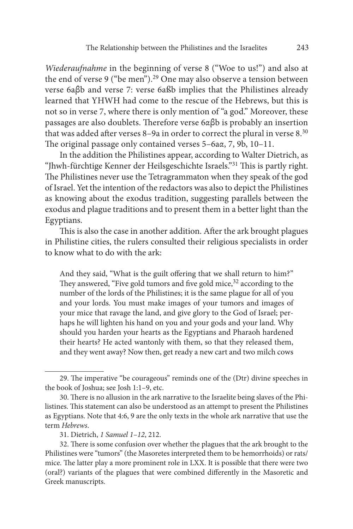*Wiederaufnahme* in the beginning of verse 8 ("Woe to us!") and also at the end of verse 9 ("be men").29 One may also observe a tension between verse 6aβb and verse 7: verse 6aßb implies that the Philistines already learned that YHWH had come to the rescue of the Hebrews, but this is not so in verse 7, where there is only mention of "a god." Moreover, these passages are also doublets. Therefore verse 6αβb is probably an insertion that was added after verses 8-9a in order to correct the plural in verse 8.<sup>30</sup> The original passage only contained verses 5–6aα, 7, 9b, 10–11.

In the addition the Philistines appear, according to Walter Dietrich, as "Jhwh-fürchtige Kenner der Heilsgeschichte Israels."31 This is partly right. The Philistines never use the Tetragrammaton when they speak of the god of Israel. Yet the intention of the redactors was also to depict the Philistines as knowing about the exodus tradition, suggesting parallels between the exodus and plague traditions and to present them in a better light than the Egyptians.

This is also the case in another addition. After the ark brought plagues in Philistine cities, the rulers consulted their religious specialists in order to know what to do with the ark:

And they said, "What is the guilt offering that we shall return to him?" They answered, "Five gold tumors and five gold mice,<sup>32</sup> according to the number of the lords of the Philistines; it is the same plague for all of you and your lords. You must make images of your tumors and images of your mice that ravage the land, and give glory to the God of Israel; perhaps he will lighten his hand on you and your gods and your land. Why should you harden your hearts as the Egyptians and Pharaoh hardened their hearts? He acted wantonly with them, so that they released them, and they went away? Now then, get ready a new cart and two milch cows

<sup>29.</sup> The imperative "be courageous" reminds one of the (Dtr) divine speeches in the book of Joshua; see Josh 1:1–9, etc.

<sup>30.</sup> There is no allusion in the ark narrative to the Israelite being slaves of the Philistines. This statement can also be understood as an attempt to present the Philistines as Egyptians. Note that 4:6, 9 are the only texts in the whole ark narrative that use the term *Hebrews*.

<sup>31.</sup> Dietrich, *1 Samuel 1–12*, 212.

<sup>32.</sup> There is some confusion over whether the plagues that the ark brought to the Philistines were "tumors" (the Masoretes interpreted them to be hemorrhoids) or rats/ mice. The latter play a more prominent role in LXX. It is possible that there were two (oral?) variants of the plagues that were combined differently in the Masoretic and Greek manuscripts.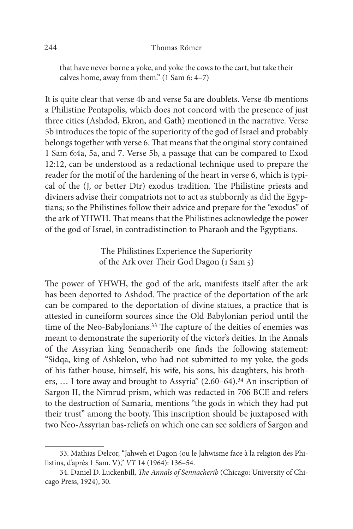that have never borne a yoke, and yoke the cows to the cart, but take their calves home, away from them." (1 Sam 6: 4–7)

It is quite clear that verse 4b and verse 5a are doublets. Verse 4b mentions a Philistine Pentapolis, which does not concord with the presence of just three cities (Ashdod, Ekron, and Gath) mentioned in the narrative. Verse 5b introduces the topic of the superiority of the god of Israel and probably belongs together with verse 6. That means that the original story contained 1 Sam 6:4a, 5a, and 7. Verse 5b, a passage that can be compared to Exod 12:12, can be understood as a redactional technique used to prepare the reader for the motif of the hardening of the heart in verse 6, which is typical of the (J, or better Dtr) exodus tradition. The Philistine priests and diviners advise their compatriots not to act as stubbornly as did the Egyptians; so the Philistines follow their advice and prepare for the "exodus" of the ark of YHWH. That means that the Philistines acknowledge the power of the god of Israel, in contradistinction to Pharaoh and the Egyptians.

> The Philistines Experience the Superiority of the Ark over Their God Dagon (1 Sam 5)

The power of YHWH, the god of the ark, manifests itself after the ark has been deported to Ashdod. The practice of the deportation of the ark can be compared to the deportation of divine statues, a practice that is attested in cuneiform sources since the Old Babylonian period until the time of the Neo-Babylonians.<sup>33</sup> The capture of the deities of enemies was meant to demonstrate the superiority of the victor's deities. In the Annals of the Assyrian king Sennacherib one finds the following statement: "Sidqa, king of Ashkelon, who had not submitted to my yoke, the gods of his father-house, himself, his wife, his sons, his daughters, his brothers, … I tore away and brought to Assyria" (2.60–64).34 An inscription of Sargon II, the Nimrud prism, which was redacted in 706 BCE and refers to the destruction of Samaria, mentions "the gods in which they had put their trust" among the booty. This inscription should be juxtaposed with two Neo-Assyrian bas-reliefs on which one can see soldiers of Sargon and

<sup>33.</sup> Mathias Delcor, "Jahweh et Dagon (ou le Jahwisme face à la religion des Philistins, d'après 1 Sam. V)," *VT* 14 (1964): 136–54.

<sup>34.</sup> Daniel D. Luckenbill, *The Annals of Sennacherib* (Chicago: University of Chicago Press, 1924), 30.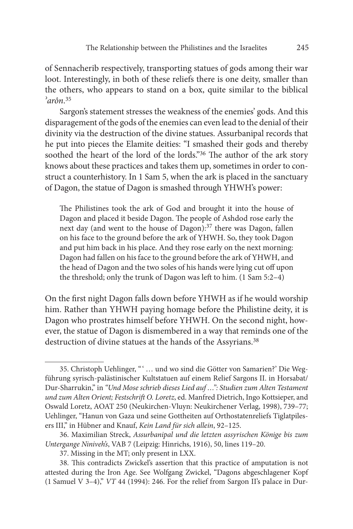of Sennacherib respectively, transporting statues of gods among their war loot. Interestingly, in both of these reliefs there is one deity, smaller than the others, who appears to stand on a box, quite similar to the biblical *ʾarôn*. 35

Sargon's statement stresses the weakness of the enemies' gods. And this disparagement of the gods of the enemies can even lead to the denial of their divinity via the destruction of the divine statues. Assurbanipal records that he put into pieces the Elamite deities: "I smashed their gods and thereby soothed the heart of the lord of the lords."<sup>36</sup> The author of the ark story knows about these practices and takes them up, sometimes in order to construct a counterhistory. In 1 Sam 5, when the ark is placed in the sanctuary of Dagon, the statue of Dagon is smashed through YHWH's power:

The Philistines took the ark of God and brought it into the house of Dagon and placed it beside Dagon. The people of Ashdod rose early the next day (and went to the house of Dagon):37 there was Dagon, fallen on his face to the ground before the ark of YHWH. So, they took Dagon and put him back in his place. And they rose early on the next morning: Dagon had fallen on his face to the ground before the ark of YHWH, and the head of Dagon and the two soles of his hands were lying cut off upon the threshold; only the trunk of Dagon was left to him. (1 Sam 5:2–4)

On the first night Dagon falls down before YHWH as if he would worship him. Rather than YHWH paying homage before the Philistine deity, it is Dagon who prostrates himself before YHWH. On the second night, however, the statue of Dagon is dismembered in a way that reminds one of the destruction of divine statues at the hands of the Assyrians.<sup>38</sup>

<sup>35.</sup> Christoph Uehlinger, " ' … und wo sind die Götter von Samarien?' Die Wegführung syrisch-palästinischer Kultstatuen auf einem Relief Sargons II. in Horsabat/ Dur-Sharrukin," in *"Und Mose schrieb dieses Lied auf …": Studien zum Alten Testament und zum Alten Orient; Festschrift O. Loretz*, ed. Manfred Dietrich, Ingo Kottsieper, and Oswald Loretz, AOAT 250 (Neukirchen-Vluyn: Neukirchener Verlag, 1998), 739–77; Uehlinger, "Hanun von Gaza und seine Gottheiten auf Orthostatenreliefs Tiglatpilesers III," in Hübner and Knauf, *Kein Land für sich allein*, 92–125.

<sup>36.</sup> Maximilian Streck, *Assurbanipal und die letzten assyrischen Könige bis zum Untergange Niniveh's*, VAB 7 (Leipzig: Hinrichs, 1916), 50, lines 119–20.

<sup>37.</sup> Missing in the MT; only present in LXX.

<sup>38.</sup> This contradicts Zwickel's assertion that this practice of amputation is not attested during the Iron Age. See Wolfgang Zwickel, "Dagons abgeschlagener Kopf (1 Samuel V 3–4)," *VT* 44 (1994): 246. For the relief from Sargon II's palace in Dur-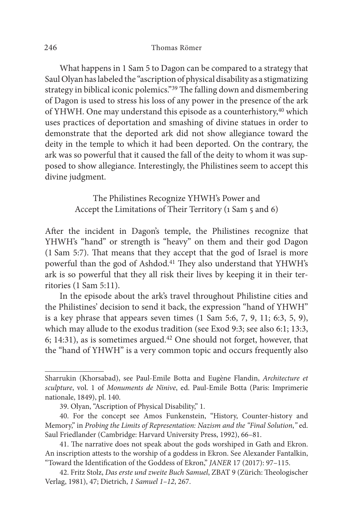What happens in 1 Sam 5 to Dagon can be compared to a strategy that Saul Olyan has labeled the "ascription of physical disability as a stigmatizing strategy in biblical iconic polemics."39 The falling down and dismembering of Dagon is used to stress his loss of any power in the presence of the ark of YHWH. One may understand this episode as a counterhistory,<sup>40</sup> which uses practices of deportation and smashing of divine statues in order to demonstrate that the deported ark did not show allegiance toward the deity in the temple to which it had been deported. On the contrary, the ark was so powerful that it caused the fall of the deity to whom it was supposed to show allegiance. Interestingly, the Philistines seem to accept this divine judgment.

> The Philistines Recognize YHWH's Power and Accept the Limitations of Their Territory (1 Sam 5 and 6)

After the incident in Dagon's temple, the Philistines recognize that YHWH's "hand" or strength is "heavy" on them and their god Dagon (1 Sam 5:7). That means that they accept that the god of Israel is more powerful than the god of Ashdod.41 They also understand that YHWH's ark is so powerful that they all risk their lives by keeping it in their territories (1 Sam 5:11).

In the episode about the ark's travel throughout Philistine cities and the Philistines' decision to send it back, the expression "hand of YHWH" is a key phrase that appears seven times  $(1 \text{ Sam } 5:6, 7, 9, 11; 6:3, 5, 9)$ , which may allude to the exodus tradition (see Exod 9:3; see also 6:1; 13:3, 6; 14:31), as is sometimes argued. $42$  One should not forget, however, that the "hand of YHWH" is a very common topic and occurs frequently also

Sharrukin (Khorsabad), see Paul-Emile Botta and Eugène Flandin, *Architecture et sculpture*, vol. 1 of *Monuments de Ninive*, ed. Paul-Emile Botta (Paris: Imprimerie nationale, 1849), pl. 140.

<sup>39.</sup> Olyan, "Ascription of Physical Disability," 1.

<sup>40.</sup> For the concept see Amos Funkenstein, "History, Counter-history and Memory," in *Probing the Limits of Representation: Nazism and the "Final Solution*,*"* ed. Saul Friedlander (Cambridge: Harvard University Press, 1992), 66–81.

<sup>41.</sup> The narrative does not speak about the gods worshiped in Gath and Ekron. An inscription attests to the worship of a goddess in Ekron. See Alexander Fantalkin, "Toward the Identification of the Goddess of Ekron," *JANER* 17 (2017): 97–115.

<sup>42.</sup> Fritz Stolz, *Das erste und zweite Buch Samuel*, ZBAT 9 (Zürich: Theologischer Verlag, 1981), 47; Dietrich, *1 Samuel 1–12*, 267.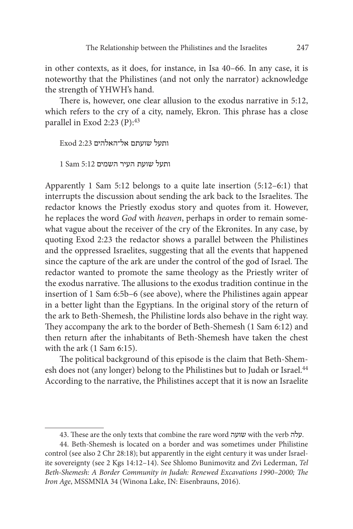in other contexts, as it does, for instance, in Isa 40–66. In any case, it is noteworthy that the Philistines (and not only the narrator) acknowledge the strength of YHWH's hand.

There is, however, one clear allusion to the exodus narrative in 5:12, which refers to the cry of a city, namely, Ekron. This phrase has a close parallel in Exod 2:23 (P):43

ותעל שועתם אל־האלהים 2:23 Exod

ותעל שועת העיר השמים 5:12 Sam 1

Apparently 1 Sam 5:12 belongs to a quite late insertion (5:12–6:1) that interrupts the discussion about sending the ark back to the Israelites. The redactor knows the Priestly exodus story and quotes from it. However, he replaces the word *God* with *heaven*, perhaps in order to remain somewhat vague about the receiver of the cry of the Ekronites. In any case, by quoting Exod 2:23 the redactor shows a parallel between the Philistines and the oppressed Israelites, suggesting that all the events that happened since the capture of the ark are under the control of the god of Israel. The redactor wanted to promote the same theology as the Priestly writer of the exodus narrative. The allusions to the exodus tradition continue in the insertion of 1 Sam 6:5b–6 (see above), where the Philistines again appear in a better light than the Egyptians. In the original story of the return of the ark to Beth-Shemesh, the Philistine lords also behave in the right way. They accompany the ark to the border of Beth-Shemesh (1 Sam 6:12) and then return after the inhabitants of Beth-Shemesh have taken the chest with the ark (1 Sam 6:15).

The political background of this episode is the claim that Beth-Shemesh does not (any longer) belong to the Philistines but to Judah or Israel.<sup>44</sup> According to the narrative, the Philistines accept that it is now an Israelite

<sup>43.</sup> These are the only texts that combine the rare word שועה with the verb עלה.

<sup>44.</sup> Beth-Shemesh is located on a border and was sometimes under Philistine control (see also 2 Chr 28:18); but apparently in the eight century it was under Israelite sovereignty (see 2 Kgs 14:12–14). See Shlomo Bunimovitz and Zvi Lederman, *Tel Beth-Shemesh: A Border Community in Judah: Renewed Excavations 1990–2000; The Iron Age*, MSSMNIA 34 (Winona Lake, IN: Eisenbrauns, 2016).